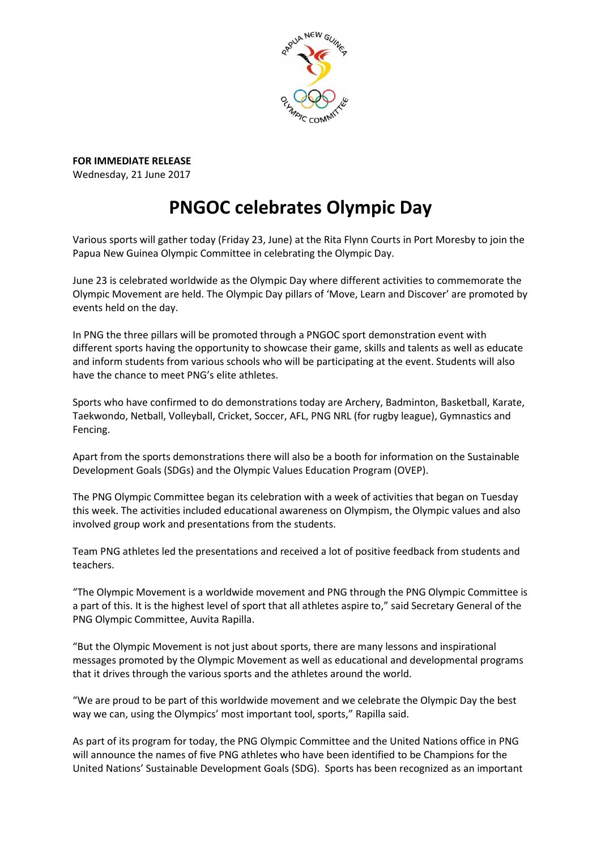

**FOR IMMEDIATE RELEASE** Wednesday, 21 June 2017

## **PNGOC celebrates Olympic Day**

Various sports will gather today (Friday 23, June) at the Rita Flynn Courts in Port Moresby to join the Papua New Guinea Olympic Committee in celebrating the Olympic Day.

June 23 is celebrated worldwide as the Olympic Day where different activities to commemorate the Olympic Movement are held. The Olympic Day pillars of 'Move, Learn and Discover' are promoted by events held on the day.

In PNG the three pillars will be promoted through a PNGOC sport demonstration event with different sports having the opportunity to showcase their game, skills and talents as well as educate and inform students from various schools who will be participating at the event. Students will also have the chance to meet PNG's elite athletes.

Sports who have confirmed to do demonstrations today are Archery, Badminton, Basketball, Karate, Taekwondo, Netball, Volleyball, Cricket, Soccer, AFL, PNG NRL (for rugby league), Gymnastics and Fencing.

Apart from the sports demonstrations there will also be a booth for information on the Sustainable Development Goals (SDGs) and the Olympic Values Education Program (OVEP).

The PNG Olympic Committee began its celebration with a week of activities that began on Tuesday this week. The activities included educational awareness on Olympism, the Olympic values and also involved group work and presentations from the students.

Team PNG athletes led the presentations and received a lot of positive feedback from students and teachers.

"The Olympic Movement is a worldwide movement and PNG through the PNG Olympic Committee is a part of this. It is the highest level of sport that all athletes aspire to," said Secretary General of the PNG Olympic Committee, Auvita Rapilla.

"But the Olympic Movement is not just about sports, there are many lessons and inspirational messages promoted by the Olympic Movement as well as educational and developmental programs that it drives through the various sports and the athletes around the world.

"We are proud to be part of this worldwide movement and we celebrate the Olympic Day the best way we can, using the Olympics' most important tool, sports," Rapilla said.

As part of its program for today, the PNG Olympic Committee and the United Nations office in PNG will announce the names of five PNG athletes who have been identified to be Champions for the United Nations' Sustainable Development Goals (SDG). Sports has been recognized as an important